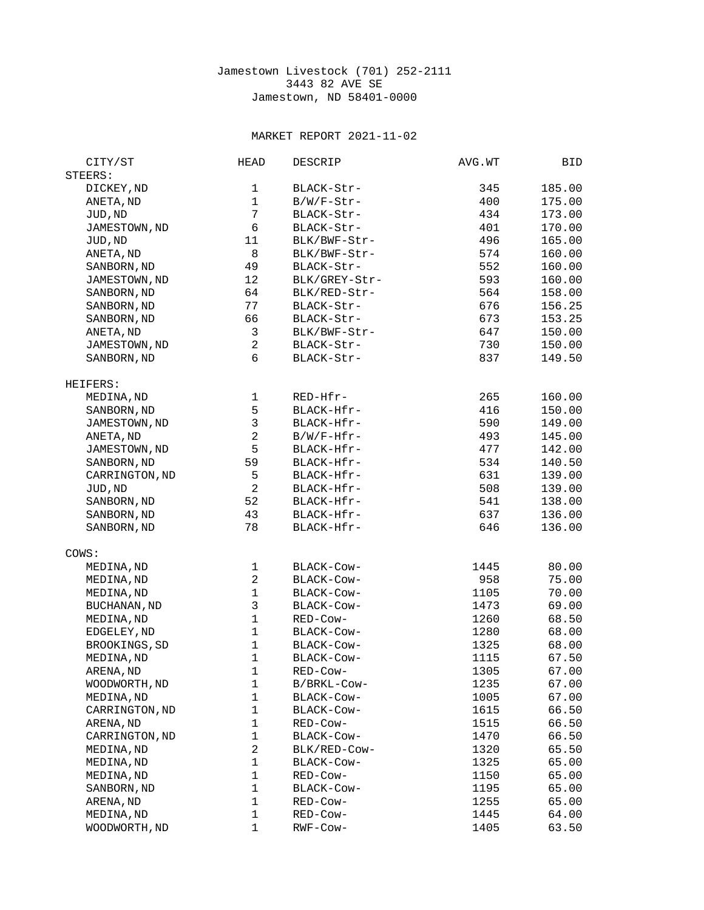## Jamestown Livestock (701) 252-2111 3443 82 AVE SE Jamestown, ND 58401-0000

## MARKET REPORT 2021-11-02

| CITY/ST             | <b>HEAD</b>      | DESCRIP       | AVG.WT | BID    |
|---------------------|------------------|---------------|--------|--------|
| STEERS:             |                  |               |        |        |
| DICKEY, ND          | 1                | BLACK-Str-    | 345    | 185.00 |
| ANETA, ND           | $\mathbf{1}$     | $B/W/F-Str-$  | 400    | 175.00 |
| JUD, ND             | $\overline{7}$   | BLACK-Str-    | 434    | 173.00 |
| JAMESTOWN, ND       | 6                | BLACK-Str-    | 401    | 170.00 |
| JUD, ND             | 11               | BLK/BWF-Str-  | 496    | 165.00 |
| ANETA, ND           | 8                | BLK/BWF-Str-  | 574    | 160.00 |
| SANBORN, ND         | 49               | BLACK-Str-    | 552    | 160.00 |
| JAMESTOWN, ND       | 12               | BLK/GREY-Str- | 593    | 160.00 |
| SANBORN, ND         | 64               | BLK/RED-Str-  | 564    | 158.00 |
| SANBORN, ND         | 77               | BLACK-Str-    | 676    | 156.25 |
| SANBORN, ND         | 66               | BLACK-Str-    | 673    | 153.25 |
| ANETA, ND           | 3                | BLK/BWF-Str-  | 647    | 150.00 |
| JAMESTOWN, ND       | $\overline{c}$   | BLACK-Str-    | 730    | 150.00 |
|                     | 6                |               | 837    |        |
| SANBORN, ND         |                  | BLACK-Str-    |        | 149.50 |
| HEIFERS:            |                  |               |        |        |
| MEDINA, ND          | $\mathbf 1$      | RED-Hfr-      | 265    | 160.00 |
| SANBORN, ND         | 5                | BLACK-Hfr-    | 416    | 150.00 |
| JAMESTOWN, ND       | 3                | BLACK-Hfr-    | 590    | 149.00 |
| ANETA, ND           | $\overline{c}$   | $B/W/F-Hfr$ - | 493    | 145.00 |
| JAMESTOWN, ND       | 5                | BLACK-Hfr-    | 477    | 142.00 |
| SANBORN, ND         | 59               | BLACK-Hfr-    | 534    | 140.50 |
| CARRINGTON, ND      | 5                | BLACK-Hfr-    | 631    | 139.00 |
| JUD, ND             | $\overline{c}$   | BLACK-Hfr-    | 508    | 139.00 |
| SANBORN, ND         | 52               | BLACK-Hfr-    | 541    | 138.00 |
| SANBORN, ND         | 43               | BLACK-Hfr-    | 637    | 136.00 |
| SANBORN, ND         | 78               | BLACK-Hfr-    | 646    | 136.00 |
| COWS:               |                  |               |        |        |
|                     |                  | BLACK-Cow-    | 1445   | 80.00  |
| MEDINA, ND          | 1                |               |        |        |
| MEDINA, ND          | $\boldsymbol{2}$ | BLACK-Cow-    | 958    | 75.00  |
| MEDINA, ND          | $\mathbf{1}$     | BLACK-Cow-    | 1105   | 70.00  |
| <b>BUCHANAN, ND</b> | 3                | BLACK-Cow-    | 1473   | 69.00  |
| MEDINA, ND          | $\mathbf{1}$     | RED-Cow-      | 1260   | 68.50  |
| EDGELEY, ND         | $\mathbf{1}$     | BLACK-Cow-    | 1280   | 68.00  |
| BROOKINGS, SD       | $\mathbf{1}$     | BLACK-Cow-    | 1325   | 68.00  |
| MEDINA, ND          | $\mathbf{1}$     | BLACK-COW-    | 1115   | 67.50  |
| ARENA, ND           | $\mathbf 1$      | RED-Cow-      | 1305   | 67.00  |
| WOODWORTH, ND       | 1                | B/BRKL-Cow-   | 1235   | 67.00  |
| MEDINA, ND          | 1                | BLACK-Cow-    | 1005   | 67.00  |
| CARRINGTON, ND      | 1                | BLACK-Cow-    | 1615   | 66.50  |
| ARENA, ND           | 1                | RED-Cow-      | 1515   | 66.50  |
| CARRINGTON, ND      | 1                | BLACK-Cow-    | 1470   | 66.50  |
| MEDINA, ND          | $\overline{c}$   | BLK/RED-COW-  | 1320   | 65.50  |
| MEDINA, ND          | $\mathbf 1$      | BLACK-Cow-    | 1325   | 65.00  |
| MEDINA, ND          | $\mathbf{1}$     | RED-Cow-      | 1150   | 65.00  |
| SANBORN, ND         | 1                | BLACK-Cow-    | 1195   | 65.00  |
| ARENA, ND           | 1                | RED-Cow-      | 1255   | 65.00  |
| MEDINA, ND          | 1                | RED-Cow-      | 1445   | 64.00  |
| WOODWORTH, ND       | 1                | RWF-Cow-      | 1405   | 63.50  |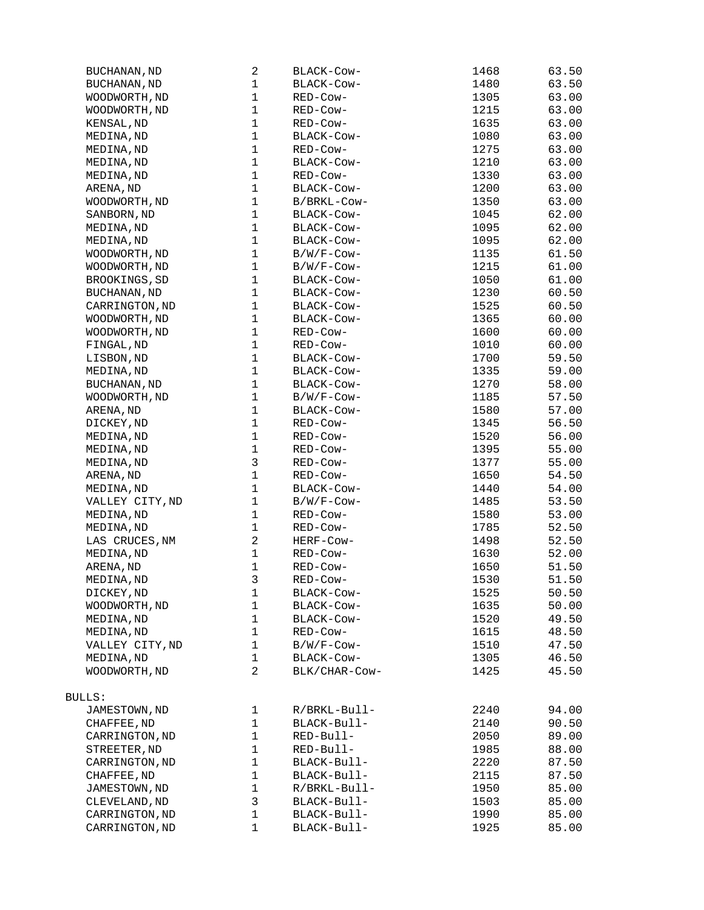| <b>BUCHANAN, ND</b> | $\overline{\mathbf{c}}$ | BLACK-Cow-    | 1468 | 63.50 |
|---------------------|-------------------------|---------------|------|-------|
| <b>BUCHANAN, ND</b> | $\mathbf{1}$            | BLACK-Cow-    | 1480 | 63.50 |
| WOODWORTH, ND       | 1                       | RED-Cow-      | 1305 | 63.00 |
| WOODWORTH, ND       | $\mathbf{1}$            | RED-Cow-      | 1215 | 63.00 |
| KENSAL, ND          | $\mathbf 1$             | RED-Cow-      | 1635 | 63.00 |
| MEDINA, ND          | $\mathbf{1}$            | BLACK-Cow-    | 1080 | 63.00 |
| MEDINA, ND          | $\mathbf 1$             | RED-Cow-      | 1275 | 63.00 |
| MEDINA, ND          | $\mathbf{1}$            | BLACK-Cow-    | 1210 | 63.00 |
| MEDINA, ND          | $\mathbf{1}$            | RED-Cow-      | 1330 | 63.00 |
| ARENA, ND           | $\mathbf{1}$            | BLACK-Cow-    | 1200 | 63.00 |
| WOODWORTH, ND       | $\mathbf{1}$            | B/BRKL-Cow-   | 1350 | 63.00 |
| SANBORN, ND         | 1                       | BLACK-Cow-    |      |       |
|                     | $\mathbf{1}$            |               | 1045 | 62.00 |
| MEDINA, ND          |                         | BLACK-COW-    | 1095 | 62.00 |
| MEDINA, ND          | $\mathbf 1$             | BLACK-COW-    | 1095 | 62.00 |
| WOODWORTH, ND       | $\mathbf{1}$            | B/W/F-Cow-    | 1135 | 61.50 |
| WOODWORTH, ND       | $\mathbf 1$             | B/W/F-Cow-    | 1215 | 61.00 |
| BROOKINGS, SD       | $\mathbf{1}$            | BLACK-COW-    | 1050 | 61.00 |
| <b>BUCHANAN, ND</b> | $\mathbf 1$             | BLACK-Cow-    | 1230 | 60.50 |
| CARRINGTON, ND      | $\mathbf{1}$            | BLACK-Cow-    | 1525 | 60.50 |
| WOODWORTH, ND       | $\mathbf 1$             | BLACK-COW-    | 1365 | 60.00 |
| WOODWORTH, ND       | $\mathbf 1$             | RED-Cow-      | 1600 | 60.00 |
| FINGAL, ND          | $\mathbf 1$             | RED-Cow-      | 1010 | 60.00 |
| LISBON, ND          | $\mathbf 1$             | BLACK-Cow-    | 1700 | 59.50 |
| MEDINA, ND          | $\mathbf 1$             | BLACK-Cow-    | 1335 | 59.00 |
| <b>BUCHANAN, ND</b> | $\mathbf{1}$            | BLACK-Cow-    | 1270 | 58.00 |
| WOODWORTH, ND       | $\mathbf 1$             | B/W/F-Cow-    | 1185 | 57.50 |
| ARENA, ND           | $\mathbf{1}$            | BLACK-Cow-    | 1580 | 57.00 |
| DICKEY, ND          | $\mathbf 1$             | RED-Cow-      | 1345 | 56.50 |
| MEDINA, ND          | $\mathbf 1$             | RED-Cow-      | 1520 | 56.00 |
| MEDINA, ND          | $\mathbf 1$             | RED-Cow-      | 1395 | 55.00 |
| MEDINA, ND          | 3                       | RED-COW-      | 1377 | 55.00 |
|                     | $\mathbf{1}$            |               | 1650 |       |
| ARENA, ND           | $\mathbf 1$             | RED-Cow-      |      | 54.50 |
| MEDINA, ND          | $\mathbf{1}$            | BLACK-Cow-    | 1440 | 54.00 |
| VALLEY CITY, ND     |                         | B/W/F-Cow-    | 1485 | 53.50 |
| MEDINA, ND          | $\mathbf 1$             | RED-Cow-      | 1580 | 53.00 |
| MEDINA, ND          | $\mathbf{1}$            | RED-Cow-      | 1785 | 52.50 |
| LAS CRUCES, NM      | $\overline{c}$          | HERF-Cow-     | 1498 | 52.50 |
| MEDINA, ND          | $\mathbf{1}$            | RED-Cow-      | 1630 | 52.00 |
| ARENA, ND           | $\mathbf 1$             | RED-Cow-      | 1650 | 51.50 |
| MEDINA, ND          | 3                       | RED-Cow-      | 1530 | 51.50 |
| DICKEY, ND          | 1                       | BLACK-Cow-    | 1525 | 50.50 |
| WOODWORTH, ND       | 1                       | BLACK-Cow-    | 1635 | 50.00 |
| MEDINA, ND          | $\mathbf{1}$            | BLACK-Cow-    | 1520 | 49.50 |
| MEDINA, ND          | $\mathbf{1}$            | RED-Cow-      | 1615 | 48.50 |
| VALLEY CITY, ND     | $\mathbf{1}$            | B/W/F-Cow-    | 1510 | 47.50 |
| MEDINA, ND          | $\mathbf 1$             | BLACK-Cow-    | 1305 | 46.50 |
| WOODWORTH, ND       | $\overline{2}$          | BLK/CHAR-COW- | 1425 | 45.50 |
| BULLS:              |                         |               |      |       |
| JAMESTOWN, ND       | 1                       | R/BRKL-Bull-  | 2240 | 94.00 |
| CHAFFEE, ND         | 1                       | BLACK-Bull-   | 2140 | 90.50 |
| CARRINGTON, ND      | $\mathbf{1}$            | RED-Bull-     | 2050 | 89.00 |
| STREETER, ND        | $\mathbf{1}$            | RED-Bull-     | 1985 | 88.00 |
| CARRINGTON, ND      | $\mathbf{1}$            | BLACK-Bull-   | 2220 | 87.50 |
|                     | $\mathbf{1}$            |               |      |       |
| CHAFFEE, ND         |                         | BLACK-Bull-   | 2115 | 87.50 |
| JAMESTOWN, ND       | $\mathbf 1$             | R/BRKL-Bull-  | 1950 | 85.00 |
| CLEVELAND, ND       | 3                       | BLACK-Bull-   | 1503 | 85.00 |
| CARRINGTON, ND      | 1                       | BLACK-Bull-   | 1990 | 85.00 |
| CARRINGTON, ND      | 1                       | BLACK-Bull-   | 1925 | 85.00 |